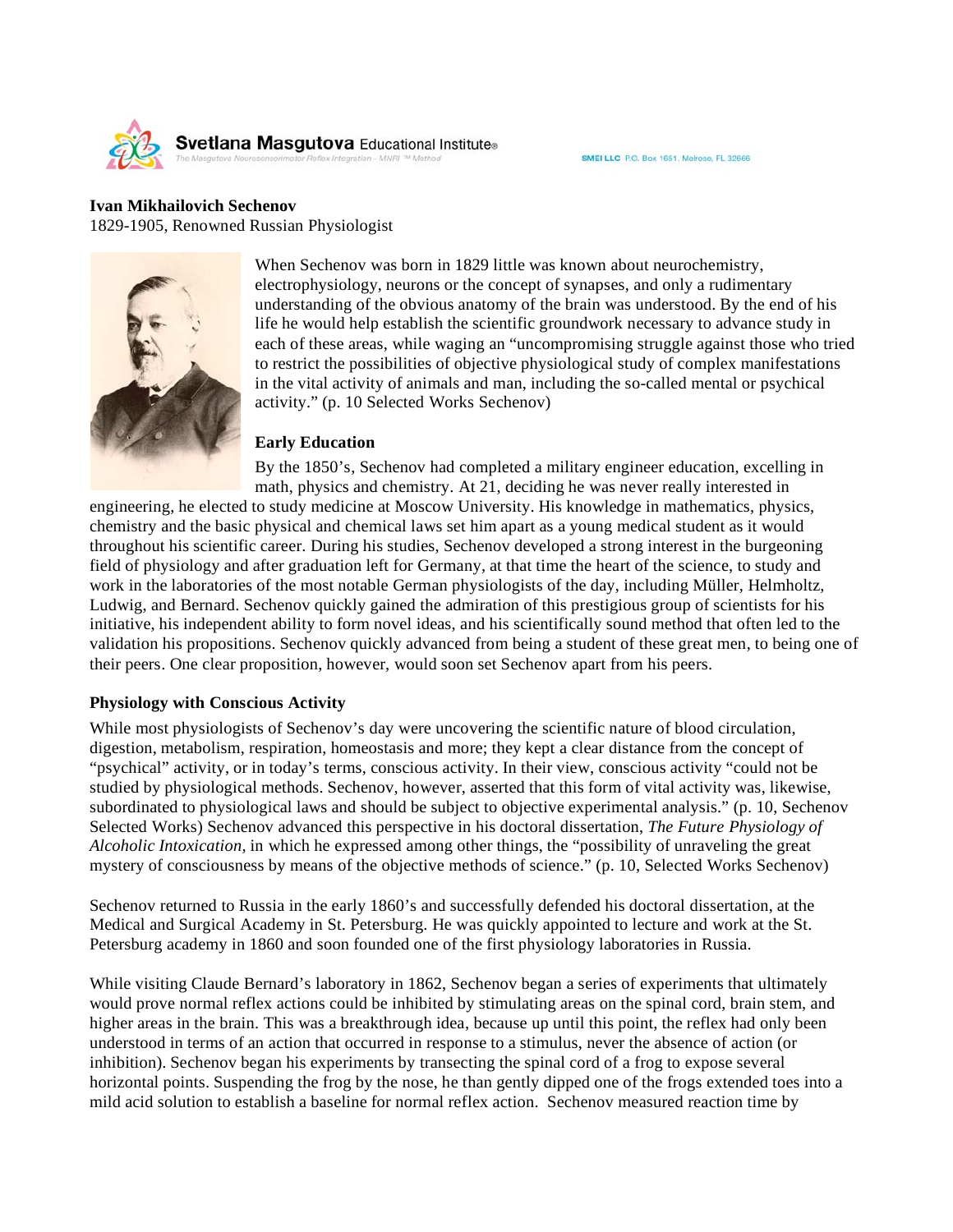

#### **Ivan Mikhailovich Sechenov** 1829-1905, Renowned Russian Physiologist



When Sechenov was born in 1829 little was known about neurochemistry, electrophysiology, neurons or the concept of synapses, and only a rudimentary understanding of the obvious anatomy of the brain was understood. By the end of his life he would help establish the scientific groundwork necessary to advance study in each of these areas, while waging an "uncompromising struggle against those who tried to restrict the possibilities of objective physiological study of complex manifestations in the vital activity of animals and man, including the so-called mental or psychical activity." (p. 10 Selected Works Sechenov)

#### **Early Education**

By the 1850's, Sechenov had completed a military engineer education, excelling in math, physics and chemistry. At 21, deciding he was never really interested in

engineering, he elected to study medicine at Moscow University. His knowledge in mathematics, physics, chemistry and the basic physical and chemical laws set him apart as a young medical student as it would throughout his scientific career. During his studies, Sechenov developed a strong interest in the burgeoning field of physiology and after graduation left for Germany, at that time the heart of the science, to study and work in the laboratories of the most notable German physiologists of the day, including Müller, Helmholtz, Ludwig, and Bernard. Sechenov quickly gained the admiration of this prestigious group of scientists for his initiative, his independent ability to form novel ideas, and his scientifically sound method that often led to the validation his propositions. Sechenov quickly advanced from being a student of these great men, to being one of their peers. One clear proposition, however, would soon set Sechenov apart from his peers.

### **Physiology with Conscious Activity**

While most physiologists of Sechenov's day were uncovering the scientific nature of blood circulation, digestion, metabolism, respiration, homeostasis and more; they kept a clear distance from the concept of "psychical" activity, or in today's terms, conscious activity. In their view, conscious activity "could not be studied by physiological methods. Sechenov, however, asserted that this form of vital activity was, likewise, subordinated to physiological laws and should be subject to objective experimental analysis." (p. 10, Sechenov Selected Works) Sechenov advanced this perspective in his doctoral dissertation, *The Future Physiology of Alcoholic Intoxication,* in which he expressed among other things, the "possibility of unraveling the great mystery of consciousness by means of the objective methods of science." (p. 10, Selected Works Sechenov)

Sechenov returned to Russia in the early 1860's and successfully defended his doctoral dissertation, at the Medical and Surgical Academy in St. Petersburg. He was quickly appointed to lecture and work at the St. Petersburg academy in 1860 and soon founded one of the first physiology laboratories in Russia.

While visiting Claude Bernard's laboratory in 1862, Sechenov began a series of experiments that ultimately would prove normal reflex actions could be inhibited by stimulating areas on the spinal cord, brain stem, and higher areas in the brain. This was a breakthrough idea, because up until this point, the reflex had only been understood in terms of an action that occurred in response to a stimulus, never the absence of action (or inhibition). Sechenov began his experiments by transecting the spinal cord of a frog to expose several horizontal points. Suspending the frog by the nose, he than gently dipped one of the frogs extended toes into a mild acid solution to establish a baseline for normal reflex action. Sechenov measured reaction time by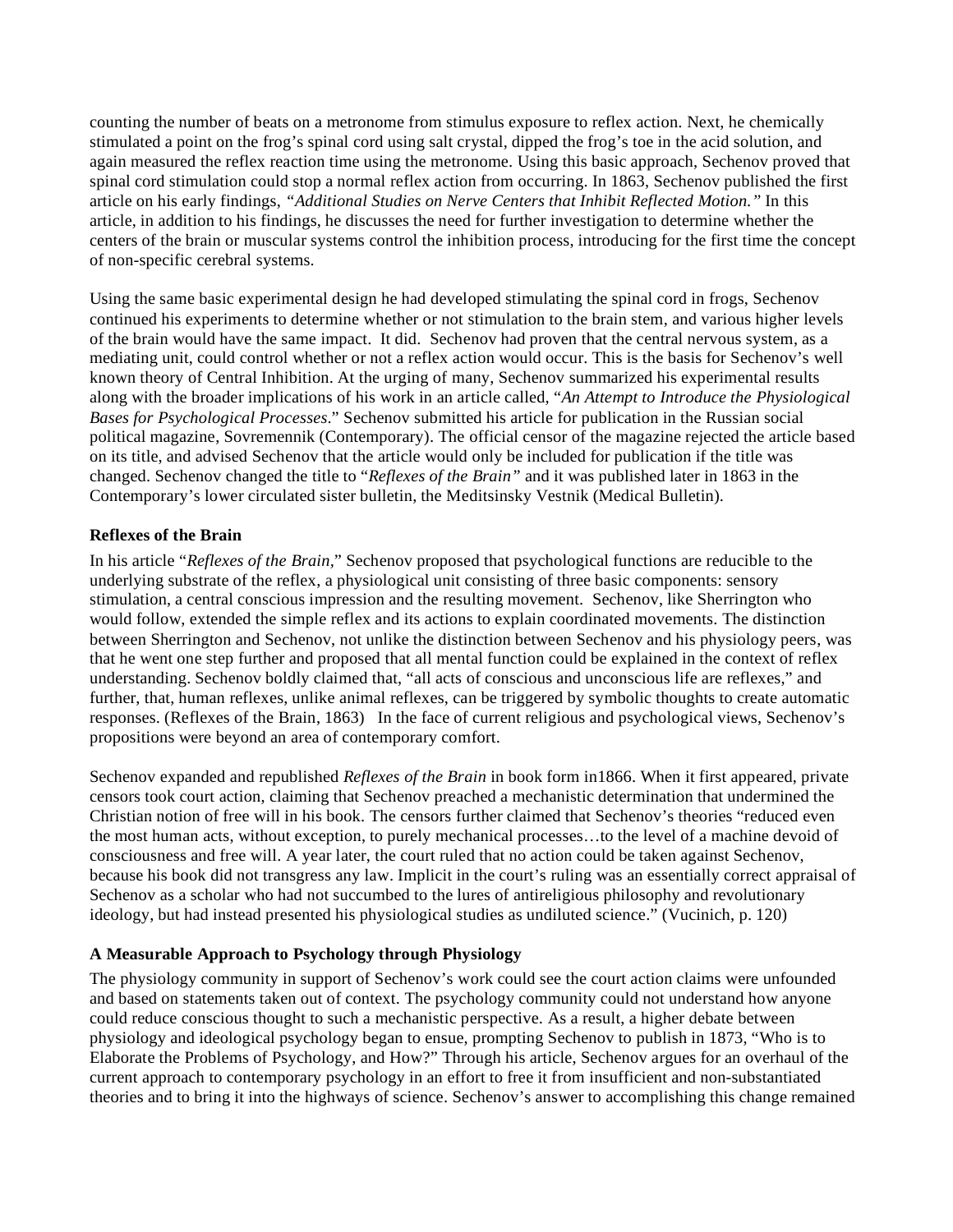counting the number of beats on a metronome from stimulus exposure to reflex action. Next, he chemically stimulated a point on the frog's spinal cord using salt crystal, dipped the frog's toe in the acid solution, and again measured the reflex reaction time using the metronome. Using this basic approach, Sechenov proved that spinal cord stimulation could stop a normal reflex action from occurring. In 1863, Sechenov published the first article on his early findings, *"Additional Studies on Nerve Centers that Inhibit Reflected Motion."* In this article, in addition to his findings, he discusses the need for further investigation to determine whether the centers of the brain or muscular systems control the inhibition process, introducing for the first time the concept of non-specific cerebral systems.

Using the same basic experimental design he had developed stimulating the spinal cord in frogs, Sechenov continued his experiments to determine whether or not stimulation to the brain stem, and various higher levels of the brain would have the same impact. It did. Sechenov had proven that the central nervous system, as a mediating unit, could control whether or not a reflex action would occur. This is the basis for Sechenov's well known theory of Central Inhibition. At the urging of many, Sechenov summarized his experimental results along with the broader implications of his work in an article called, "*An Attempt to Introduce the Physiological Bases for Psychological Processes*." Sechenov submitted his article for publication in the Russian social political magazine, Sovremennik (Contemporary). The official censor of the magazine rejected the article based on its title, and advised Sechenov that the article would only be included for publication if the title was changed. Sechenov changed the title to "*Reflexes of the Brain"* and it was published later in 1863 in the Contemporary's lower circulated sister bulletin, the Meditsinsky Vestnik (Medical Bulletin).

# **Reflexes of the Brain**

In his article "*Reflexes of the Brain,*" Sechenov proposed that psychological functions are reducible to the underlying substrate of the reflex, a physiological unit consisting of three basic components: sensory stimulation, a central conscious impression and the resulting movement. Sechenov, like Sherrington who would follow, extended the simple reflex and its actions to explain coordinated movements. The distinction between Sherrington and Sechenov, not unlike the distinction between Sechenov and his physiology peers, was that he went one step further and proposed that all mental function could be explained in the context of reflex understanding. Sechenov boldly claimed that, "all acts of conscious and unconscious life are reflexes," and further, that, human reflexes, unlike animal reflexes, can be triggered by symbolic thoughts to create automatic responses. (Reflexes of the Brain, 1863) In the face of current religious and psychological views, Sechenov's propositions were beyond an area of contemporary comfort.

Sechenov expanded and republished *Reflexes of the Brain* in book form in1866. When it first appeared, private censors took court action, claiming that Sechenov preached a mechanistic determination that undermined the Christian notion of free will in his book. The censors further claimed that Sechenov's theories "reduced even the most human acts, without exception, to purely mechanical processes…to the level of a machine devoid of consciousness and free will. A year later, the court ruled that no action could be taken against Sechenov, because his book did not transgress any law. Implicit in the court's ruling was an essentially correct appraisal of Sechenov as a scholar who had not succumbed to the lures of antireligious philosophy and revolutionary ideology, but had instead presented his physiological studies as undiluted science." (Vucinich, p. 120)

### **A Measurable Approach to Psychology through Physiology**

The physiology community in support of Sechenov's work could see the court action claims were unfounded and based on statements taken out of context. The psychology community could not understand how anyone could reduce conscious thought to such a mechanistic perspective. As a result, a higher debate between physiology and ideological psychology began to ensue, prompting Sechenov to publish in 1873, "Who is to Elaborate the Problems of Psychology, and How?" Through his article, Sechenov argues for an overhaul of the current approach to contemporary psychology in an effort to free it from insufficient and non-substantiated theories and to bring it into the highways of science. Sechenov's answer to accomplishing this change remained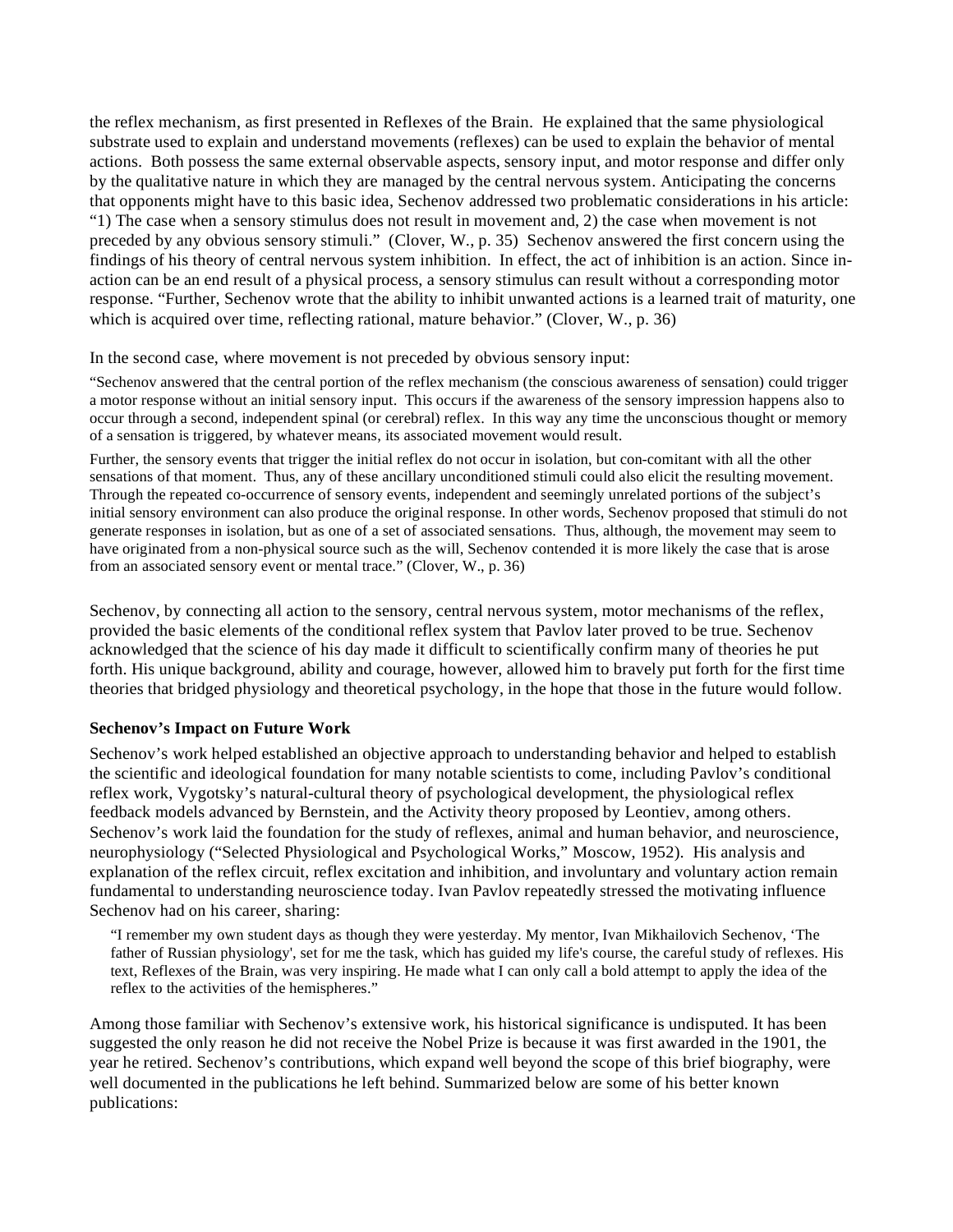the reflex mechanism, as first presented in Reflexes of the Brain. He explained that the same physiological substrate used to explain and understand movements (reflexes) can be used to explain the behavior of mental actions. Both possess the same external observable aspects, sensory input, and motor response and differ only by the qualitative nature in which they are managed by the central nervous system. Anticipating the concerns that opponents might have to this basic idea, Sechenov addressed two problematic considerations in his article: "1) The case when a sensory stimulus does not result in movement and, 2) the case when movement is not preceded by any obvious sensory stimuli." (Clover, W., p. 35) Sechenov answered the first concern using the findings of his theory of central nervous system inhibition. In effect, the act of inhibition is an action. Since inaction can be an end result of a physical process, a sensory stimulus can result without a corresponding motor response. "Further, Sechenov wrote that the ability to inhibit unwanted actions is a learned trait of maturity, one which is acquired over time, reflecting rational, mature behavior." (Clover, W., p. 36)

In the second case, where movement is not preceded by obvious sensory input:

"Sechenov answered that the central portion of the reflex mechanism (the conscious awareness of sensation) could trigger a motor response without an initial sensory input. This occurs if the awareness of the sensory impression happens also to occur through a second, independent spinal (or cerebral) reflex. In this way any time the unconscious thought or memory of a sensation is triggered, by whatever means, its associated movement would result.

Further, the sensory events that trigger the initial reflex do not occur in isolation, but con-comitant with all the other sensations of that moment. Thus, any of these ancillary unconditioned stimuli could also elicit the resulting movement. Through the repeated co-occurrence of sensory events, independent and seemingly unrelated portions of the subject's initial sensory environment can also produce the original response. In other words, Sechenov proposed that stimuli do not generate responses in isolation, but as one of a set of associated sensations. Thus, although, the movement may seem to have originated from a non-physical source such as the will, Sechenov contended it is more likely the case that is arose from an associated sensory event or mental trace." (Clover, W., p. 36)

Sechenov, by connecting all action to the sensory, central nervous system, motor mechanisms of the reflex, provided the basic elements of the conditional reflex system that Pavlov later proved to be true. Sechenov acknowledged that the science of his day made it difficult to scientifically confirm many of theories he put forth. His unique background, ability and courage, however, allowed him to bravely put forth for the first time theories that bridged physiology and theoretical psychology, in the hope that those in the future would follow.

# **Sechenov's Impact on Future Work**

Sechenov's work helped established an objective approach to understanding behavior and helped to establish the scientific and ideological foundation for many notable scientists to come, including Pavlov's conditional reflex work, Vygotsky's natural-cultural theory of psychological development, the physiological reflex feedback models advanced by Bernstein, and the Activity theory proposed by Leontiev, among others. Sechenov's work laid the foundation for the study of reflexes, animal and human behavior, and neuroscience, neurophysiology ("Selected Physiological and Psychological Works," Moscow, 1952). His analysis and explanation of the reflex circuit, reflex excitation and inhibition, and involuntary and voluntary action remain fundamental to understanding neuroscience today. Ivan Pavlov repeatedly stressed the motivating influence Sechenov had on his career, sharing:

"I remember my own student days as though they were yesterday. My mentor, Ivan Mikhailovich Sechenov, 'The father of Russian physiology', set for me the task, which has guided my life's course, the careful study of reflexes. His text, Reflexes of the Brain, was very inspiring. He made what I can only call a bold attempt to apply the idea of the reflex to the activities of the hemispheres."

Among those familiar with Sechenov's extensive work, his historical significance is undisputed. It has been suggested the only reason he did not receive the Nobel Prize is because it was first awarded in the 1901, the year he retired. Sechenov's contributions, which expand well beyond the scope of this brief biography, were well documented in the publications he left behind. Summarized below are some of his better known publications: